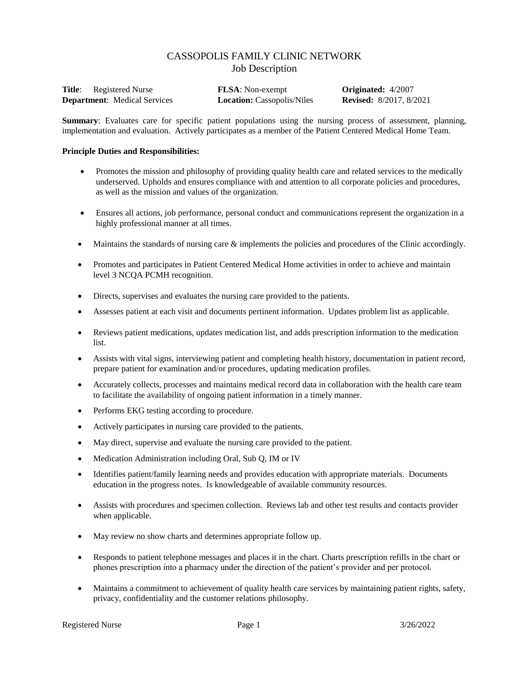# CASSOPOLIS FAMILY CLINIC NETWORK Job Description

| <b>Title:</b> Registered Nurse      | <b>FLSA</b> : Non-exempt          | <b>Originated:</b> 4/2007      |
|-------------------------------------|-----------------------------------|--------------------------------|
| <b>Department:</b> Medical Services | <b>Location:</b> Cassopolis/Niles | <b>Revised:</b> 8/2017, 8/2021 |

**Summary**: Evaluates care for specific patient populations using the nursing process of assessment, planning, implementation and evaluation. Actively participates as a member of the Patient Centered Medical Home Team.

#### **Principle Duties and Responsibilities:**

- Promotes the mission and philosophy of providing quality health care and related services to the medically underserved. Upholds and ensures compliance with and attention to all corporate policies and procedures, as well as the mission and values of the organization.
- Ensures all actions, job performance, personal conduct and communications represent the organization in a highly professional manner at all times.
- Maintains the standards of nursing care & implements the policies and procedures of the Clinic accordingly.
- Promotes and participates in Patient Centered Medical Home activities in order to achieve and maintain level 3 NCQA PCMH recognition.
- Directs, supervises and evaluates the nursing care provided to the patients.
- Assesses patient at each visit and documents pertinent information. Updates problem list as applicable.
- Reviews patient medications, updates medication list, and adds prescription information to the medication list.
- Assists with vital signs, interviewing patient and completing health history, documentation in patient record, prepare patient for examination and/or procedures, updating medication profiles.
- Accurately collects, processes and maintains medical record data in collaboration with the health care team to facilitate the availability of ongoing patient information in a timely manner.
- Performs EKG testing according to procedure.
- Actively participates in nursing care provided to the patients.
- May direct, supervise and evaluate the nursing care provided to the patient.
- Medication Administration including Oral, Sub Q, IM or IV
- Identifies patient/family learning needs and provides education with appropriate materials. Documents education in the progress notes. Is knowledgeable of available community resources.
- Assists with procedures and specimen collection. Reviews lab and other test results and contacts provider when applicable.
- May review no show charts and determines appropriate follow up.
- Responds to patient telephone messages and places it in the chart. Charts prescription refills in the chart or phones prescription into a pharmacy under the direction of the patient's provider and per protocol.
- Maintains a commitment to achievement of quality health care services by maintaining patient rights, safety, privacy, confidentiality and the customer relations philosophy.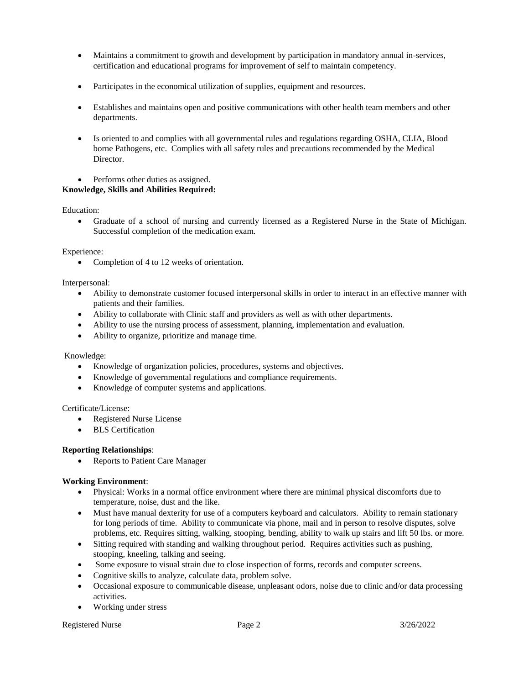- Maintains a commitment to growth and development by participation in mandatory annual in-services, certification and educational programs for improvement of self to maintain competency.
- Participates in the economical utilization of supplies, equipment and resources.
- Establishes and maintains open and positive communications with other health team members and other departments.
- Is oriented to and complies with all governmental rules and regulations regarding OSHA, CLIA, Blood borne Pathogens, etc. Complies with all safety rules and precautions recommended by the Medical Director.
- Performs other duties as assigned.

# **Knowledge, Skills and Abilities Required:**

Education:

 Graduate of a school of nursing and currently licensed as a Registered Nurse in the State of Michigan. Successful completion of the medication exam.

Experience:

• Completion of 4 to 12 weeks of orientation.

Interpersonal:

- Ability to demonstrate customer focused interpersonal skills in order to interact in an effective manner with patients and their families.
- Ability to collaborate with Clinic staff and providers as well as with other departments.
- Ability to use the nursing process of assessment, planning, implementation and evaluation.
- Ability to organize, prioritize and manage time.

#### Knowledge:

- Knowledge of organization policies, procedures, systems and objectives.
- Knowledge of governmental regulations and compliance requirements.
- Knowledge of computer systems and applications.

#### Certificate/License:

- Registered Nurse License
- BLS Certification

# **Reporting Relationships**:

Reports to Patient Care Manager

# **Working Environment**:

- Physical: Works in a normal office environment where there are minimal physical discomforts due to temperature, noise, dust and the like.
- Must have manual dexterity for use of a computers keyboard and calculators. Ability to remain stationary for long periods of time. Ability to communicate via phone, mail and in person to resolve disputes, solve problems, etc. Requires sitting, walking, stooping, bending, ability to walk up stairs and lift 50 lbs. or more.
- Sitting required with standing and walking throughout period. Requires activities such as pushing, stooping, kneeling, talking and seeing.
- Some exposure to visual strain due to close inspection of forms, records and computer screens.
- Cognitive skills to analyze, calculate data, problem solve.
- Occasional exposure to communicable disease, unpleasant odors, noise due to clinic and/or data processing activities.
- Working under stress